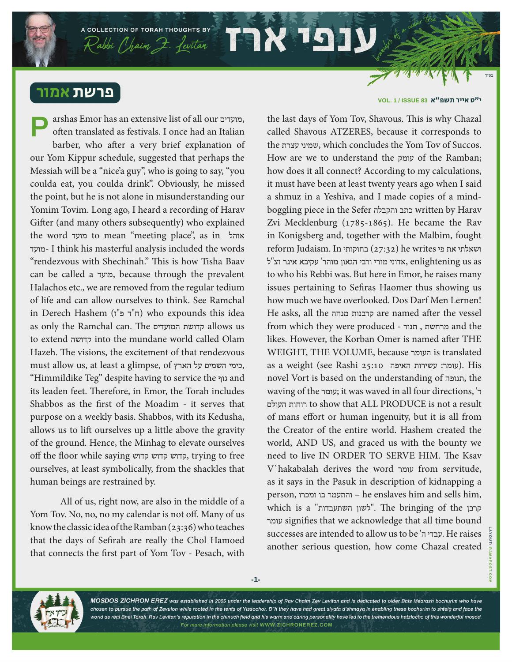A COLLECTION OF TORAH THOUGHTS BY  $\mathcal{R}$ abbi Chaim  $\mathcal{F}$ . Levitar  $\mathcal{F}$   $\mathcal{N}$ 

## פרשת אמור

arshas Emor has an extensive list of all our מועדים, often translated as festivals. I once had an Italian barber, who after a very brief explanation of our Yom Kippur schedule, suggested that perhaps the Messiah will be a "nice'a guy", who is going to say, "you coulda eat, you coulda drink". Obviously, he missed the point, but he is not alone in misunderstanding our Yomim Tovim. Long ago, I heard a recording of Harav Gifter (and many others subsequently) who explained the word מועד to mean "meeting place", as in אוהל מועד- I think his masterful analysis included the words "rendezvous with Shechinah." This is how Tisha Baav can be called a מועד, because through the prevalent Halachos etc., we are removed from the regular tedium of life and can allow ourselves to think. See Ramchal in Derech Hashem (ז"פ ד"ח (who expounds this idea as only the Ramchal can. The המועדים קדושת allows us to extend קדושה into the mundane world called Olam Hazeh. The visions, the excitement of that rendezvous must allow us, at least a glimpse, of הארץ על השמים כימי, "Himmildike Teg" despite having to service the גוף and its leaden feet. Therefore, in Emor, the Torah includes Shabbos as the first of the Moadim - it serves that purpose on a weekly basis. Shabbos, with its Kedusha, allows us to lift ourselves up a little above the gravity of the ground. Hence, the Minhag to elevate ourselves off the floor while saying קדוש קדוש קדוש, trying to free ourselves, at least symbolically, from the shackles that human beings are restrained by. **P**

All of us, right now, are also in the middle of a Yom Tov. No, no, no my calendar is not off. Many of us know the classic idea of the Ramban (23:36) who teaches that the days of Sefirah are really the Chol Hamoed that connects the first part of Yom Tov - Pesach, with

## י״ט אייר תשפ"א **83 ISSUE / 1 .VOL**

the last days of Yom Tov, Shavous. This is why Chazal called Shavous ATZERES, because it corresponds to the עצרת שמיני, which concludes the Yom Tov of Succos. How are we to understand the עומק of the Ramban; how does it all connect? According to my calculations, it must have been at least twenty years ago when I said a shmuz in a Yeshiva, and I made copies of a mindboggling piece in the Sefer והקבלה כתב written by Harav Zvi Mecklenburg (1785-1865). He became the Rav in Konigsberg and, together with the Malbim, fought reform Judaism. In בחוקותי) 27:32 (he writes פי את ושאלתי ל אדוני מורי ורבי הגאון מוהר' עקיבא איגר זצ"ל, enlightening us as to who his Rebbi was. But here in Emor, he raises many issues pertaining to Sefiras Haomer thus showing us how much we have overlooked. Dos Darf Men Lernen! He asks, all the מנחה קרבנות are named after the vessel from which they were produced - תנור , מרחשת and the likes. However, the Korban Omer is named after THE WEIGHT, THE VOLUME, because העומר is translated as a weight (see Rashi 25:10 עומר: עשירות האיפה). His novel Vort is based on the understanding of תנופה, the waving of the עומר ;it was waved in all four directions, 'ד העולם רוחות to show that ALL PRODUCE is not a result of mans effort or human ingenuity, but it is all from the Creator of the entire world. Hashem created the world, AND US, and graced us with the bounty we need to live IN ORDER TO SERVE HIM. The Ksav V`hakabalah derives the word עומר from servitude, as it says in the Pasuk in description of kidnapping a person, ומכרו בו והתעמר – he enslaves him and sells him, which is a "השתעבדות". The bringing of the קרבן עומר signifies that we acknowledge that all time bound successes are intended to allow us to be 'ה עבדי. He raises another serious question, how come Chazal created



MOSDOS ZICHRON EREZ was established in 2005 under the leadership of Rav Chaim Zev Levitan and is dedicated to older Bais Medrash bochurim who have chosen to pursue the path of Zevulon while rooted in the tents of Yissochor. B"h they have had great siyata d'shmaya in enabling these bochurim to shteig and face the world as real Bnei Torah. Rav Levitan's reputation in the chinuch field and his warm and caring personality have led to the tremendous hatzlocho of this wonderful mosod. For more information please visit WWW.ZICHRONEREZ.COM